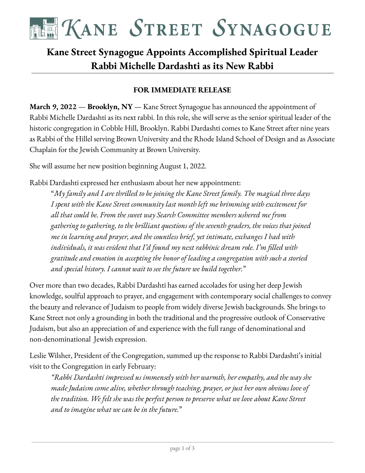

# **Kane Street Synagogue Appoints Accomplished Spiritual Leader Rabbi Michelle Dardashti as its New Rabbi**

#### **FOR IMMEDIATE RELEASE**

**March 9, 2022** — **Brooklyn, NY** — Kane Street Synagogue has announced the appointment of Rabbi Michelle Dardashti as its next rabbi. In this role, she will serve as the senior spiritual leader of the historic congregation in Cobble Hill, Brooklyn. Rabbi Dardashti comes to Kane Street after nine years as Rabbi of the Hillel serving Brown University and the Rhode Island School of Design and as Associate Chaplain for the Jewish Community at Brown University.

She will assume her new position beginning August 1, 2022.

Rabbi Dardashti expressed her enthusiasm about her new appointment:

"*My family and I are thrilled to be joining the Kane Street family. The magical three days I spent with the Kane Street community last month left me brimming with excitement for all that could be. From the sweet way Search Committee members ushered me from gathering to gathering, to the brilliant questions of the seventh graders, the voices that joined me in learning and prayer, and the countless brief, yet intimate, exchanges I had with individuals, it was evident that I'd found my next rabbinic dream role. I'm filled with gratitude and emotion in accepting the honor of leading a congregation with such a storied and special history. I cannot wait to see the future we build together.*"

Over more than two decades, Rabbi Dardashti has earned accolades for using her deep Jewish knowledge, soulful approach to prayer, and engagement with contemporary social challenges to convey the beauty and relevance of Judaism to people from widely diverse Jewish backgrounds. She brings to Kane Street not only a grounding in both the traditional and the progressive outlook of Conservative Judaism, but also an appreciation of and experience with the full range of denominational and non-denominational Jewish expression.

Leslie Wilsher, President of the Congregation, summed up the response to Rabbi Dardashti's initial visit to the Congregation in early February:

*"Rabbi Dardashti impressed us immensely with her warmth, her empathy, and the way she made Judaism come alive, whether through teaching, prayer, or just her own obvious love of the tradition. We felt she was the perfect person to preserve what we love about Kane Street and to imagine what we can be in the future.*"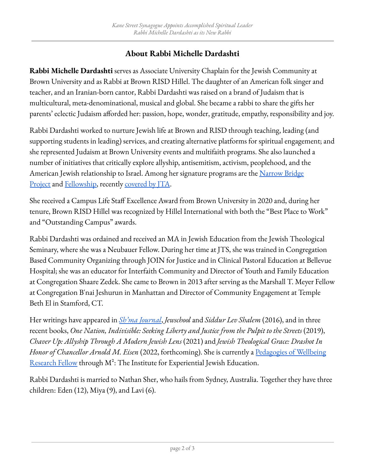## **About Rabbi Michelle Dardashti**

**Rabbi Michelle Dardashti** serves as Associate University Chaplain for the Jewish Community at Brown University and as Rabbi at Brown RISD Hillel. The daughter of an American folk singer and teacher, and an Iranian-born cantor, Rabbi Dardashti was raised on a brand of Judaism that is multicultural, meta-denominational, musical and global. She became a rabbi to share the gifts her parents' eclectic Judaism afforded her: passion, hope, wonder, gratitude, empathy, responsibility and joy.

Rabbi Dardashti worked to nurture Jewish life at Brown and RISD through teaching, leading (and supporting students in leading) services, and creating alternative platforms for spiritual engagement; and she represented Judaism at Brown University events and multifaith programs. She also launched a number of initiatives that critically explore allyship, antisemitism, activism, peoplehood, and the American Jewish relationship to Israel. Among her signature programs are the [Narrow](https://www.brown.edu/campus-life/spiritual-life/chaplains/programs-projects-and-events/narrow-bridge-project) Bridge [Project](https://www.brown.edu/campus-life/spiritual-life/chaplains/programs-projects-and-events/narrow-bridge-project) and [Fellowship](https://www.lovethyneighborguidebook.com/the-narrow-bridge-project#:~:text=The%20Narrow%20Bridge%20Fellowship), recently [covered](https://www.jta.org/2021/12/21/opinion/what-happened-when-jewish-students-at-brown-university-stopped-fighting-about-israel-and-started-listening-to-each-other) by JTA.

She received a Campus Life Staff Excellence Award from Brown University in 2020 and, during her tenure, Brown RISD Hillel was recognized by Hillel International with both the "Best Place to Work" and "Outstanding Campus" awards.

Rabbi Dardashti was ordained and received an MA in Jewish Education from the Jewish Theological Seminary, where she was a Neubauer Fellow. During her time at JTS, she was trained in Congregation Based Community Organizing through JOIN for Justice and in Clinical Pastoral Education at Bellevue Hospital; she was an educator for Interfaith Community and Director of Youth and Family Education at Congregation Shaare Zedek. She came to Brown in 2013 after serving as the Marshall T. Meyer Fellow at Congregation B'nai Jeshurun in Manhattan and Director of Community Engagement at Temple Beth El in Stamford, CT.

Her writings have appeared in *Sh'ma [Journal](https://forward.com/shma-now/havdil/372309/redeeming-particularity/)*, *Jewschool* and *Siddur Lev Shalem* (2016), and in three recent books, *One Nation, Indivisible: Seeking Liberty and Justice from the Pulpit to the Streets* (2019), *Chaver Up: Allyship Through A Modern Jewish Lens* (2021) and *Jewish Theological Grace: Drashot In Honor of Chancellor Arnold M. Eisen* (2022, forthcoming). She is currently a [Pedagogies](https://ieje.org/pedagogies-of-wellbeing-research-fellowship/#:~:text=The%20Pedagogies%20of%20Wellness%20Research%20Fellowship%20seeks%20to%3A&text=Expand%20the%20range%20of%20Jewish,you%20in%20the%20creation%20process.) of Wellbeing <u>[Research](https://ieje.org/pedagogies-of-wellbeing-research-fellowship/#:~:text=The%20Pedagogies%20of%20Wellness%20Research%20Fellowship%20seeks%20to%3A&text=Expand%20the%20range%20of%20Jewish,you%20in%20the%20creation%20process.) Fellow</u> through  $M^2$ : The Institute for Experiential Jewish Education.

Rabbi Dardashti is married to Nathan Sher, who hails from Sydney, Australia. Together they have three children: Eden (12), Miya (9), and Lavi (6).